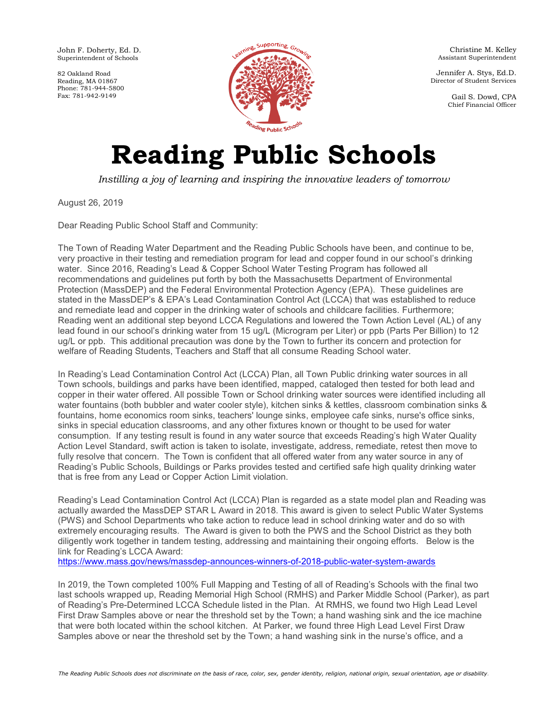John F. Doherty, Ed. D. Superintendent of Schools

82 Oakland Road Reading, MA 01867 Phone: 781-944-5800 Fax: 781-942-9149



Christine M. Kelley Assistant Superintendent

Jennifer A. Stys, Ed.D. Director of Student Services

> Gail S. Dowd, CPA Chief Financial Officer

## **Reading Public Schools**

*Instilling a joy of learning and inspiring the innovative leaders of tomorrow*

August 26, 2019

Dear Reading Public School Staff and Community:

The Town of Reading Water Department and the Reading Public Schools have been, and continue to be, very proactive in their testing and remediation program for lead and copper found in our school's drinking water. Since 2016, Reading's Lead & Copper School Water Testing Program has followed all recommendations and guidelines put forth by both the Massachusetts Department of Environmental Protection (MassDEP) and the Federal Environmental Protection Agency (EPA). These guidelines are stated in the MassDEP's & EPA's Lead Contamination Control Act (LCCA) that was established to reduce and remediate lead and copper in the drinking water of schools and childcare facilities. Furthermore; Reading went an additional step beyond LCCA Regulations and lowered the Town Action Level (AL) of any lead found in our school's drinking water from 15 ug/L (Microgram per Liter) or ppb (Parts Per Billion) to 12 ug/L or ppb. This additional precaution was done by the Town to further its concern and protection for welfare of Reading Students, Teachers and Staff that all consume Reading School water.

In Reading's Lead Contamination Control Act (LCCA) Plan, all Town Public drinking water sources in all Town schools, buildings and parks have been identified, mapped, cataloged then tested for both lead and copper in their water offered. All possible Town or School drinking water sources were identified including all water fountains (both bubbler and water cooler style), kitchen sinks & kettles, classroom combination sinks & fountains, home economics room sinks, teachers' lounge sinks, employee cafe sinks, nurse's office sinks, sinks in special education classrooms, and any other fixtures known or thought to be used for water consumption. If any testing result is found in any water source that exceeds Reading's high Water Quality Action Level Standard, swift action is taken to isolate, investigate, address, remediate, retest then move to fully resolve that concern. The Town is confident that all offered water from any water source in any of Reading's Public Schools, Buildings or Parks provides tested and certified safe high quality drinking water that is free from any Lead or Copper Action Limit violation.

Reading's Lead Contamination Control Act (LCCA) Plan is regarded as a state model plan and Reading was actually awarded the MassDEP STAR L Award in 2018. This award is given to select Public Water Systems (PWS) and School Departments who take action to reduce lead in school drinking water and do so with extremely encouraging results. The Award is given to both the PWS and the School District as they both diligently work together in tandem testing, addressing and maintaining their ongoing efforts. Below is the link for Reading's LCCA Award:

<https://www.mass.gov/news/massdep-announces-winners-of-2018-public-water-system-awards>

In 2019, the Town completed 100% Full Mapping and Testing of all of Reading's Schools with the final two last schools wrapped up, Reading Memorial High School (RMHS) and Parker Middle School (Parker), as part of Reading's Pre-Determined LCCA Schedule listed in the Plan. At RMHS, we found two High Lead Level First Draw Samples above or near the threshold set by the Town; a hand washing sink and the ice machine that were both located within the school kitchen. At Parker, we found three High Lead Level First Draw Samples above or near the threshold set by the Town; a hand washing sink in the nurse's office, and a